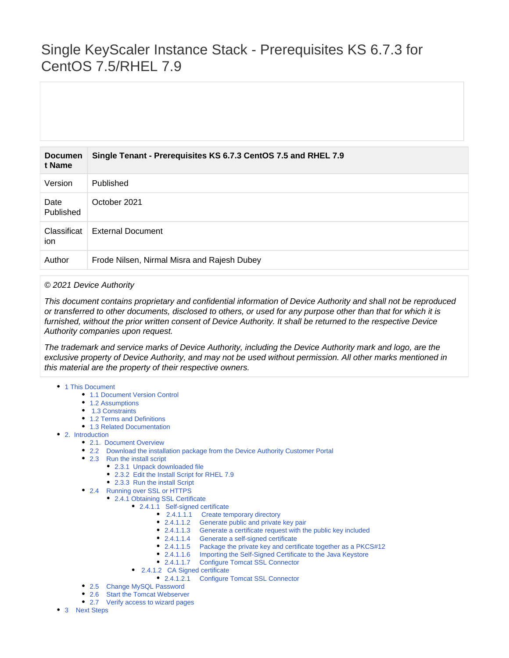# Single KeyScaler Instance Stack - Prerequisites KS 6.7.3 for CentOS 7.5/RHEL 7.9

| <b>Documen</b><br>t Name | Single Tenant - Prerequisites KS 6.7.3 CentOS 7.5 and RHEL 7.9 |
|--------------------------|----------------------------------------------------------------|
| Version                  | Published                                                      |
| Date<br>Published        | October 2021                                                   |
| Classificat<br>ion       | <b>External Document</b>                                       |
| Author                   | Frode Nilsen, Nirmal Misra and Rajesh Dubey                    |

#### © 2021 Device Authority

This document contains proprietary and confidential information of Device Authority and shall not be reproduced or transferred to other documents, disclosed to others, or used for any purpose other than that for which it is furnished, without the prior written consent of Device Authority. It shall be returned to the respective Device Authority companies upon request.

The trademark and service marks of Device Authority, including the Device Authority mark and logo, are the exclusive property of Device Authority, and may not be used without permission. All other marks mentioned in this material are the property of their respective owners.

- [1 This Document](#page-1-0)
	- [1.1 Document Version Control](#page-1-1)
	- [1.2 Assumptions](#page-1-2)
	- ● [1.3 Constraints](#page-1-3)
	- [1.2 Terms and Definitions](#page-1-4)
	- [1.3 Related Documentation](#page-1-5)
- [2. Introduction](#page-2-0)
	- [2.1. Document Overview](#page-2-1)
	- [2.2 Download the installation package from the Device Authority Customer Portal](#page-2-2)
	- [2.3 Run the install script](#page-3-0)
		- [2.3.1 Unpack downloaded file](#page-3-1)
		- [2.3.2 Edit the Install Script for RHEL 7.9](#page-3-2)
		- [2.3.3 Run the install Script](#page-3-3)
	- [2.4 Running over SSL or HTTPS](#page-4-0)
		- [2.4.1 Obtaining SSL Certificate](#page-4-1)
			- [2.4.1.1 Self-signed certificate](#page-4-2)
				- • [2.4.1.1.1 Create temporary directory](#page-4-3)
				- [2.4.1.1.2 Generate public and private key pair](#page-4-4)
				- [2.4.1.1.3 Generate a certificate request with the public key included](#page-5-0)
				- [2.4.1.1.4 Generate a self-signed certificate](#page-5-1)
				- [2.4.1.1.5 Package the private key and certificate together as a PKCS#12](#page-5-2)
				- [2.4.1.1.6 Importing the Self-Signed Certificate to the Java Keystore](#page-6-0)
				- [2.4.1.1.7 Configure Tomcat SSL Connector](#page-7-0)
			- • [2.4.1.2 CA Signed certificate](#page-7-1)
				- [2.4.1.2.1 Configure Tomcat SSL Connector](#page-7-2)
	- [2.5 Change MySQL Password](#page-8-0)
	- [2.6 Start the Tomcat Webserver](#page-9-0)
	- [2.7 Verify access to wizard pages](#page-10-0)
- [3 Next Steps](#page-11-0)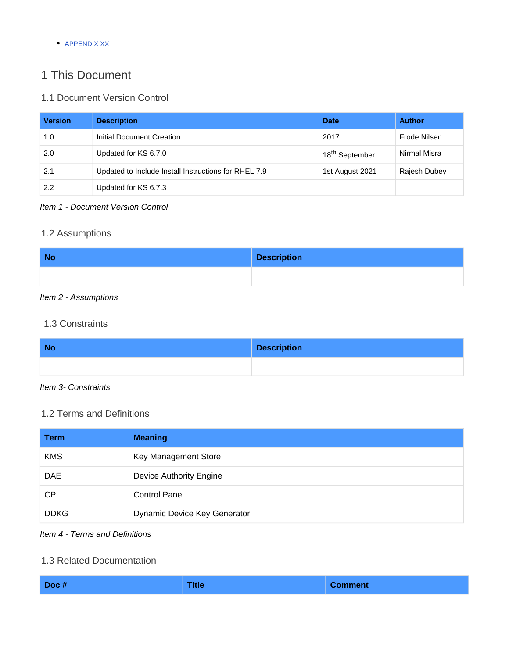**[APPENDIX XX](#page-11-1)** 

## <span id="page-1-0"></span>1 This Document

## <span id="page-1-1"></span>1.1 Document Version Control

| <b>Version</b> | <b>Description</b>                                   | <b>Date</b>                | <b>Author</b> |
|----------------|------------------------------------------------------|----------------------------|---------------|
| 1.0            | Initial Document Creation                            | 2017                       | Frode Nilsen  |
| 2.0            | Updated for KS 6.7.0                                 | 18 <sup>th</sup> September | Nirmal Misra  |
| 2.1            | Updated to Include Install Instructions for RHEL 7.9 | 1st August 2021            | Rajesh Dubey  |
| 2.2            | Updated for KS 6.7.3                                 |                            |               |

## Item 1 - Document Version Control

## <span id="page-1-2"></span>1.2 Assumptions

| <b>No</b> | <b>Description</b> |
|-----------|--------------------|
|           |                    |

## Item 2 - Assumptions

## <span id="page-1-3"></span>1.3 Constraints

| <b>No</b> | <b>Description</b> |
|-----------|--------------------|
|           |                    |

## Item 3- Constraints

## <span id="page-1-4"></span>1.2 Terms and Definitions

| <b>Term</b> | <b>Meaning</b>               |
|-------------|------------------------------|
| <b>KMS</b>  | Key Management Store         |
| <b>DAE</b>  | Device Authority Engine      |
| CP.         | <b>Control Panel</b>         |
| <b>DDKG</b> | Dynamic Device Key Generator |

## Item 4 - Terms and Definitions

### <span id="page-1-5"></span>1.3 Related Documentation

| <b>Title</b><br>Doc#<br><b>Comment</b> |  |  |  |
|----------------------------------------|--|--|--|
|----------------------------------------|--|--|--|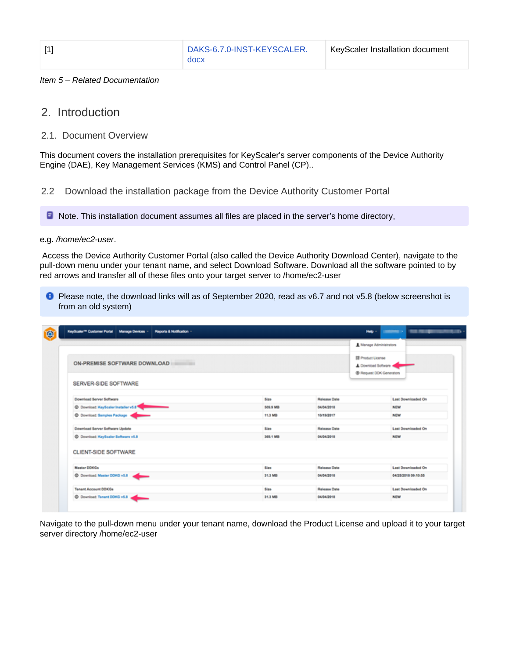| ٦<br>٠ |  |
|--------|--|
|        |  |

#### Item 5 – Related Documentation

## <span id="page-2-0"></span>2. Introduction

### <span id="page-2-1"></span>2.1. Document Overview

This document covers the installation prerequisites for KeyScaler's server components of the Device Authority Engine (DAE), Key Management Services (KMS) and Control Panel (CP)..

<span id="page-2-2"></span>2.2 Download the installation package from the Device Authority Customer Portal

**D** Note. This installation document assumes all files are placed in the server's home directory,

#### e.g. /home/ec2-user.

 Access the Device Authority Customer Portal (also called the Device Authority Download Center), navigate to the pull-down menu under your tenant name, and select Download Software. Download all the software pointed to by red arrows and transfer all of these files onto your target server to /home/ec2-user

**P** Please note, the download links will as of September 2020, read as v6.7 and not v5.8 (below screenshot is from an old system)

|                                                   |          |                     | # Manage Administrators                         |
|---------------------------------------------------|----------|---------------------|-------------------------------------------------|
| ON-PREMISE SOFTWARE DOWNLOAD<br><b>STATISTICS</b> |          | 图 Product License   | A Download Software<br>@ Request DOK Generators |
| SERVER-SIDE SOFTWARE                              |          |                     |                                                 |
| Download Server Software                          | Size     | Release Date        | Last Downloaded On                              |
| C Download KeyScaler Installer v5.8               | 509.9 MB | 04/04/2018          | <b>NEW</b>                                      |
| C Download: Samples Package #                     | 11.3 MB  | 10/19/2017          | <b>MEW</b>                                      |
| Download Server Software Update                   | Size:    | <b>Release Date</b> | Last Downloaded On                              |
| C Download: KeyScaler Software v5.8               | 369.1 MB | 04/04/2018          | <b>NEW</b>                                      |
| CLIENT-SIDE SOFTWARE                              |          |                     |                                                 |
| Master DOKGs                                      | Size     | Release Date        | Last Downloaded On                              |
| C Download: Master DDKG v5.8 .                    | 31.3 MB  | 04/04/2018          | 04/25/2018 09:10:55                             |
| Tenant Account DOKGs                              | Size     | Release Date        | <b>Last Downloaded On</b>                       |
| C Download: Tenant DDKG v5.8                      | 31.3 MB  | 04/04/2018          | <b>NEW</b>                                      |

Navigate to the pull-down menu under your tenant name, download the Product License and upload it to your target server directory /home/ec2-user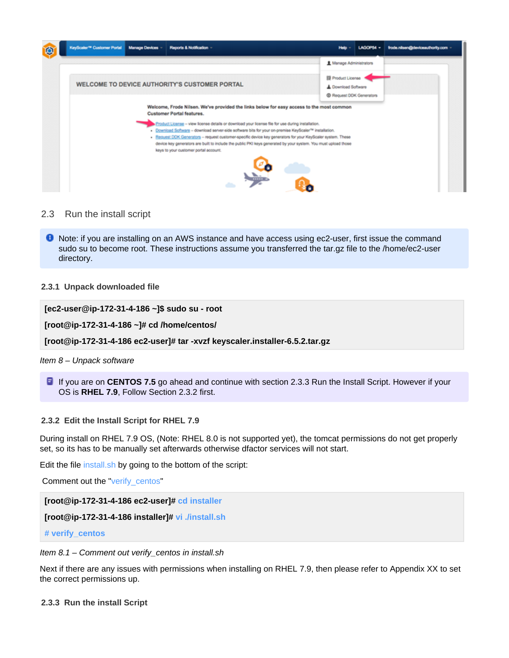

#### <span id="page-3-0"></span>2.3 Run the install script

**O** Note: if you are installing on an AWS instance and have access using ec2-user, first issue the command sudo su to become root. These instructions assume you transferred the tar.gz file to the /home/ec2-user directory.

#### <span id="page-3-1"></span>**2.3.1 Unpack downloaded file**

```
[ec2-user@ip-172-31-4-186 ~]$ sudo su - root
```
**[root@ip-172-31-4-186 ~]# cd /home/centos/**

**[root@ip-172-31-4-186 ec2-user]# tar -xvzf keyscaler.installer-6.5.2.tar.gz**

#### Item 8 – Unpack software

**If** If you are on **CENTOS 7.5** go ahead and continue with section 2.3.3 Run the Install Script. However if your OS is **RHEL 7.9**, Follow Section 2.3.2 first.

#### <span id="page-3-2"></span>**2.3.2 Edit the Install Script for RHEL 7.9**

During install on RHEL 7.9 OS, (Note: RHEL 8.0 is not supported yet), the tomcat permissions do not get properly set, so its has to be manually set afterwards otherwise dfactor services will not start.

Edit the file install.sh by going to the bottom of the script:

Comment out the "verify\_centos"

**[root@ip-172-31-4-186 ec2-user]# cd installer**

```
[root@ip-172-31-4-186 installer]# vi ./install.sh
```

```
# verify_centos
```
#### Item 8.1 – Comment out verify\_centos in install.sh

Next if there are any issues with permissions when installing on RHEL 7.9, then please refer to Appendix XX to set the correct permissions up.

#### <span id="page-3-3"></span>**2.3.3 Run the install Script**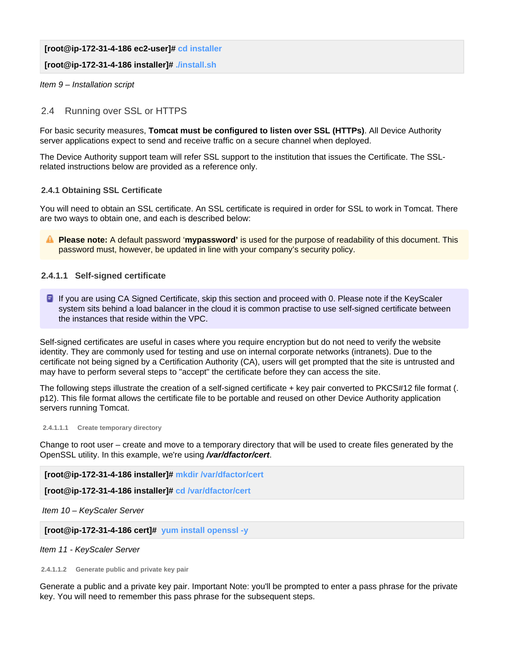**[root@ip-172-31-4-186 ec2-user]# cd installer**

**[root@ip-172-31-4-186 installer]# ./install.sh**

Item 9 – Installation script

#### <span id="page-4-0"></span>2.4 Running over SSL or HTTPS

For basic security measures, **Tomcat must be configured to listen over SSL (HTTPs)**. All Device Authority server applications expect to send and receive traffic on a secure channel when deployed.

The Device Authority support team will refer SSL support to the institution that issues the Certificate. The SSLrelated instructions below are provided as a reference only.

#### <span id="page-4-1"></span>**2.4.1 Obtaining SSL Certificate**

You will need to obtain an SSL certificate. An SSL certificate is required in order for SSL to work in Tomcat. There are two ways to obtain one, and each is described below:

**Please note:** A default password '**mypassword'** is used for the purpose of readability of this document. This password must, however, be updated in line with your company's security policy.

#### <span id="page-4-2"></span>**2.4.1.1 Self-signed certificate**

**If** you are using CA Signed Certificate, skip this section and proceed with 0. Please note if the KeyScaler system sits behind a load balancer in the cloud it is common practise to use self-signed certificate between the instances that reside within the VPC.

Self-signed certificates are useful in cases where you require encryption but do not need to verify the website identity. They are commonly used for testing and use on internal corporate networks (intranets). Due to the certificate not being signed by a Certification Authority (CA), users will get prompted that the site is untrusted and may have to perform several steps to "accept" the certificate before they can access the site.

The following steps illustrate the creation of a self-signed certificate + key pair converted to PKCS#12 file format (. p12). This file format allows the certificate file to be portable and reused on other Device Authority application servers running Tomcat.

<span id="page-4-3"></span> **2.4.1.1.1 Create temporary directory**

Change to root user – create and move to a temporary directory that will be used to create files generated by the OpenSSL utility. In this example, we're using **/var/dfactor/cert**.

**[root@ip-172-31-4-186 installer]# mkdir /var/dfactor/cert**

**[root@ip-172-31-4-186 installer]# cd /var/dfactor/cert**

Item 10 – KeyScaler Server

**[root@ip-172-31-4-186 cert]# yum install openssl -y**

Item 11 - KeyScaler Server

<span id="page-4-4"></span>**2.4.1.1.2 Generate public and private key pair**

Generate a public and a private key pair. Important Note: you'll be prompted to enter a pass phrase for the private key. You will need to remember this pass phrase for the subsequent steps.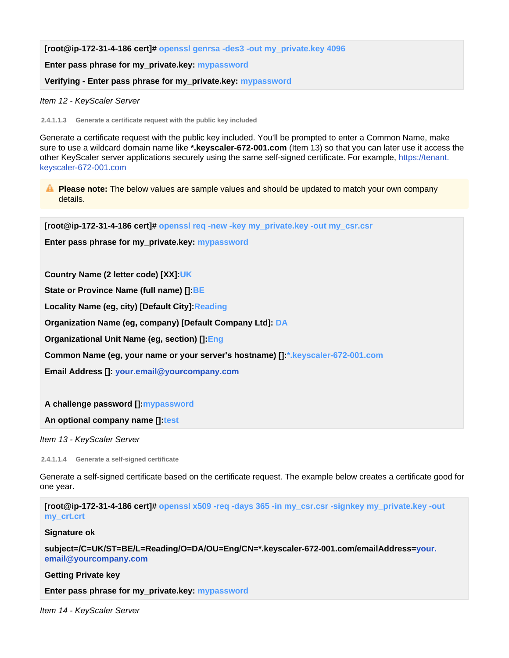**[root@ip-172-31-4-186 cert]# openssl genrsa -des3 -out my\_private.key 4096**

**Enter pass phrase for my\_private.key: mypassword**

**Verifying - Enter pass phrase for my\_private.key: mypassword**

Item 12 - KeyScaler Server

<span id="page-5-0"></span>**2.4.1.1.3 Generate a certificate request with the public key included**

Generate a certificate request with the public key included. You'll be prompted to enter a Common Name, make sure to use a wildcard domain name like **\*.keyscaler-672-001.com** (Item 13) so that you can later use it access the other KeyScaler server applications securely using the same self-signed certificate. For example, [https://tenant.](https://mytenant.xyzcorp63.com) [keyscaler-672-001.com](https://mytenant.xyzcorp63.com)

**Please note:** The below values are sample values and should be updated to match your own company details.

**[root@ip-172-31-4-186 cert]# openssl req -new -key my\_private.key -out my\_csr.csr**

**Enter pass phrase for my\_private.key: mypassword**

**Country Name (2 letter code) [XX]:UK**

**State or Province Name (full name) []:BE**

**Locality Name (eg, city) [Default City]:Reading**

**Organization Name (eg, company) [Default Company Ltd]: DA**

**Organizational Unit Name (eg, section) []:Eng**

**Common Name (eg, your name or your server's hostname) []:\*.keyscaler-672-001.com**

**Email Address []: [your.email@yourcompany.com](mailto:your.email@yourcompany.com)**

#### **A challenge password []:mypassword**

**An optional company name []:test**

Item 13 - KeyScaler Server

<span id="page-5-1"></span>**2.4.1.1.4 Generate a self-signed certificate**

Generate a self-signed certificate based on the certificate request. The example below creates a certificate good for one year.

**[root@ip-172-31-4-186 cert]# openssl x509 -req -days 365 -in my\_csr.csr -signkey my\_private.key -out my\_crt.crt**

**Signature ok**

**subject=/C=UK/ST=BE/L=Reading/O=DA/OU=Eng/CN=\*.keyscaler-672-001.com/emailAddress=[your.](mailto:your.email@yourcompany.com) [email@yourcompany.com](mailto:your.email@yourcompany.com)**

**Getting Private key**

**Enter pass phrase for my\_private.key: mypassword**

<span id="page-5-2"></span>Item 14 - KeyScaler Server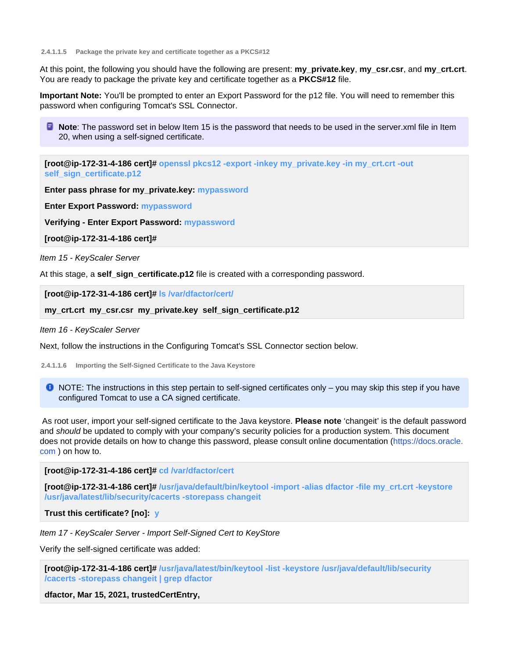**2.4.1.1.5 Package the private key and certificate together as a PKCS#12**

At this point, the following you should have the following are present: **my\_private.key**, **my\_csr.csr**, and **my\_crt.crt**. You are ready to package the private key and certificate together as a **PKCS#12** file.

**Important Note:** You'll be prompted to enter an Export Password for the p12 file. You will need to remember this password when configuring Tomcat's SSL Connector.

**Note:** The password set in below Item 15 is the password that needs to be used in the server.xml file in Item 20, when using a self-signed certificate.

**[root@ip-172-31-4-186 cert]# openssl pkcs12 -export -inkey my\_private.key -in my\_crt.crt -out self\_sign\_certificate.p12**

**Enter pass phrase for my\_private.key: mypassword**

**Enter Export Password: mypassword**

**Verifying - Enter Export Password: mypassword**

**[root@ip-172-31-4-186 cert]#**

Item 15 - KeyScaler Server

At this stage, a **self\_sign\_certificate.p12** file is created with a corresponding password.

**[root@ip-172-31-4-186 cert]# ls /var/dfactor/cert/**

**my\_crt.crt my\_csr.csr my\_private.key self\_sign\_certificate.p12**

#### Item 16 - KeyScaler Server

Next, follow the instructions in the Configuring Tomcat's SSL Connector section below.

<span id="page-6-0"></span>**2.4.1.1.6 Importing the Self-Signed Certificate to the Java Keystore**

 $\bullet$  NOTE: The instructions in this step pertain to self-signed certificates only – you may skip this step if you have configured Tomcat to use a CA signed certificate.

 As root user, import your self-signed certificate to the Java keystore. **Please note** 'changeit' is the default password and should be updated to comply with your company's security policies for a production system. This document does not provide details on how to change this password, please consult online documentation [\(https://docs.oracle.](https://docs.oracle.com) [com](https://docs.oracle.com) ) on how to.

**[root@ip-172-31-4-186 cert]# cd /var/dfactor/cert**

**[root@ip-172-31-4-186 cert]# /usr/java/default/bin/keytool -import -alias dfactor -file my\_crt.crt -keystore /usr/java/latest/lib/security/cacerts -storepass changeit**

**Trust this certificate? [no]: y**

Item 17 - KeyScaler Server - Import Self-Signed Cert to KeyStore

Verify the self-signed certificate was added:

**[root@ip-172-31-4-186 cert]# /usr/java/latest/bin/keytool -list -keystore /usr/java/default/lib/security /cacerts -storepass changeit | grep dfactor**

**dfactor, Mar 15, 2021, trustedCertEntry,**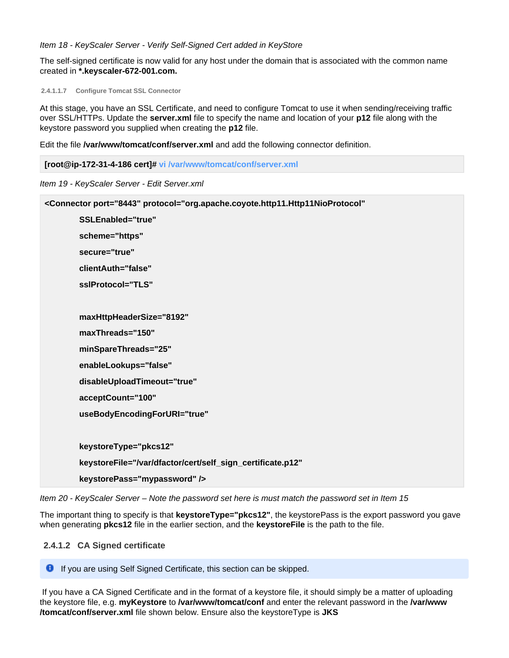Item 18 - KeyScaler Server - Verify Self-Signed Cert added in KeyStore

The self-signed certificate is now valid for any host under the domain that is associated with the common name created in **\*.keyscaler-672-001.com.**

<span id="page-7-0"></span>**2.4.1.1.7 Configure Tomcat SSL Connector**

At this stage, you have an SSL Certificate, and need to configure Tomcat to use it when sending/receiving traffic over SSL/HTTPs. Update the **server.xml** file to specify the name and location of your **p12** file along with the keystore password you supplied when creating the **p12** file.

Edit the file **/var/www/tomcat/conf/server.xml** and add the following connector definition.

```
[root@ip-172-31-4-186 cert]# vi /var/www/tomcat/conf/server.xml
```
Item 19 - KeyScaler Server - Edit Server.xml

| <connector <="" port="8443" protocol="org.apache.coyote.http11.Http11NioProtocol" th=""></connector> |
|------------------------------------------------------------------------------------------------------|
| SSLEnabled="true"                                                                                    |
| scheme="https"                                                                                       |
| secure="true"                                                                                        |
| clientAuth="false"                                                                                   |
| sslProtocol="TLS"                                                                                    |
|                                                                                                      |
| maxHttpHeaderSize="8192"                                                                             |
| maxThreads="150"                                                                                     |
| minSpareThreads="25"                                                                                 |
| enableLookups="false"                                                                                |
| disableUploadTimeout="true"                                                                          |
| acceptCount="100"                                                                                    |
| useBodyEncodingForURI="true"                                                                         |
|                                                                                                      |
| keystoreType="pkcs12"                                                                                |
| keystoreFile="/var/dfactor/cert/self_sign_certificate.p12"                                           |
| keystorePass="mypassword" />                                                                         |
|                                                                                                      |

Item 20 - KeyScaler Server – Note the password set here is must match the password set in Item 15

The important thing to specify is that **keystoreType="pkcs12"**, the keystorePass is the export password you gave when generating **pkcs12** file in the earlier section, and the **keystoreFile** is the path to the file.

#### <span id="page-7-1"></span> **2.4.1.2 CA Signed certificate**

**If you are using Self Signed Certificate, this section can be skipped.** 

<span id="page-7-2"></span> If you have a CA Signed Certificate and in the format of a keystore file, it should simply be a matter of uploading the keystore file, e.g. **myKeystore** to **/var/www/tomcat/conf** and enter the relevant password in the **/var/www /tomcat/conf/server.xml** file shown below. Ensure also the keystoreType is **JKS**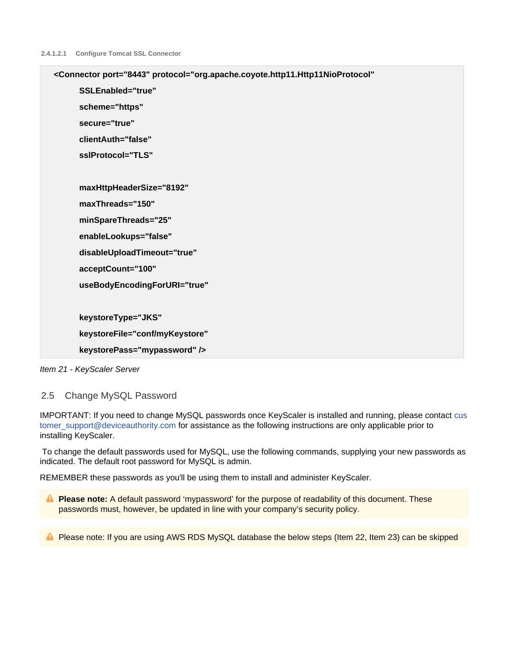| <connector <="" port="8443" protocol="org.apache.coyote.http11.Http11NioProtocol" th=""></connector> |
|------------------------------------------------------------------------------------------------------|
| SSLEnabled="true"                                                                                    |
| scheme="https"                                                                                       |
| secure="true"                                                                                        |
| clientAuth="false"                                                                                   |
| sslProtocol="TLS"                                                                                    |
|                                                                                                      |
| maxHttpHeaderSize="8192"                                                                             |
| maxThreads="150"                                                                                     |
| minSpareThreads="25"                                                                                 |
| enableLookups="false"                                                                                |
| disableUploadTimeout="true"                                                                          |
| acceptCount="100"                                                                                    |
| useBodyEncodingForURI="true"                                                                         |
|                                                                                                      |
| keystoreType="JKS"                                                                                   |
| keystoreFile="conf/myKeystore"                                                                       |
| keystorePass="mypassword" />                                                                         |
|                                                                                                      |



#### <span id="page-8-0"></span>2.5 Change MySQL Password

IMPORTANT: If you need to change MySQL passwords once KeyScaler is installed and running, please contact [cus](mailto:customer_support@deviceauthority.com) [tomer\\_support@deviceauthority.com](mailto:customer_support@deviceauthority.com) for assistance as the following instructions are only applicable prior to installing KeyScaler.

 To change the default passwords used for MySQL, use the following commands, supplying your new passwords as indicated. The default root password for MySQL is admin.

REMEMBER these passwords as you'll be using them to install and administer KeyScaler.

**Please note:** A default password 'mypassword' for the purpose of readability of this document. These passwords must, however, be updated in line with your company's security policy.

**A** Please note: If you are using AWS RDS MySQL database the below steps (Item 22, Item 23) can be skipped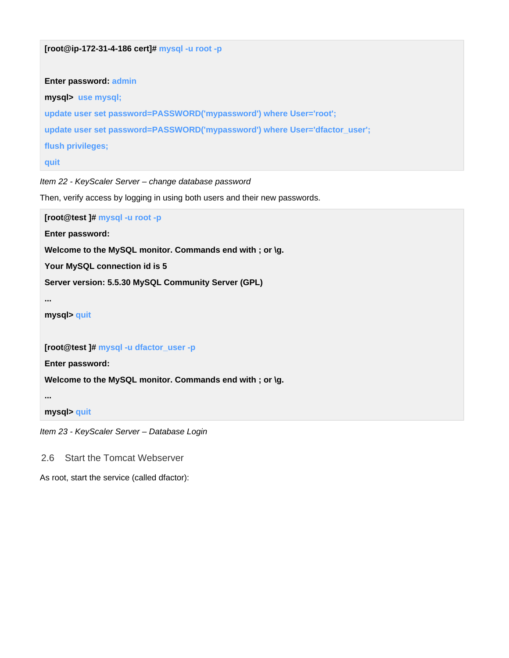```
Enter password: admin
mysql> use mysql;
update user set password=PASSWORD('mypassword') where User='root';
update user set password=PASSWORD('mypassword') where User='dfactor_user';
flush privileges;
quit
```
Item 22 - KeyScaler Server – change database password

**[root@ip-172-31-4-186 cert]# mysql -u root -p**

Then, verify access by logging in using both users and their new passwords.

**[root@test ]# mysql -u root -p**

**Enter password:**

**Welcome to the MySQL monitor. Commands end with ; or \g.**

**Your MySQL connection id is 5**

**Server version: 5.5.30 MySQL Community Server (GPL)**

```
...
```
**mysql> quit**

**[root@test ]# mysql -u dfactor\_user -p**

**Enter password:**

**Welcome to the MySQL monitor. Commands end with ; or \g.**

**...**

**mysql> quit**

Item 23 - KeyScaler Server – Database Login

<span id="page-9-0"></span>2.6 Start the Tomcat Webserver

As root, start the service (called dfactor):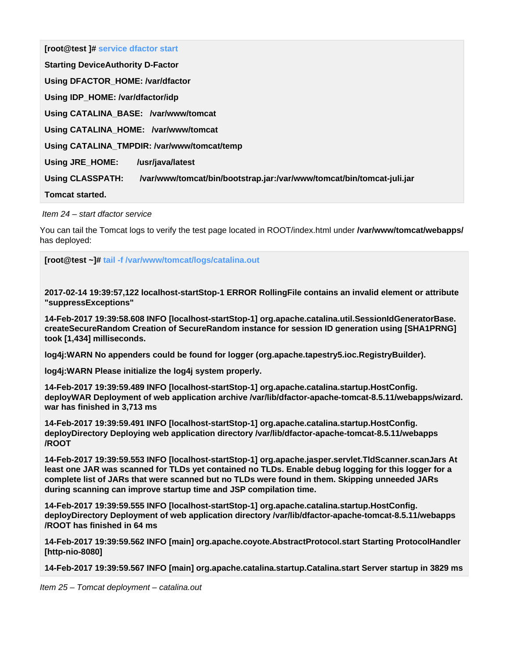**[root@test ]# service dfactor start Starting DeviceAuthority D-Factor Using DFACTOR\_HOME: /var/dfactor Using IDP\_HOME: /var/dfactor/idp Using CATALINA\_BASE: /var/www/tomcat Using CATALINA\_HOME: /var/www/tomcat Using CATALINA\_TMPDIR: /var/www/tomcat/temp Using JRE\_HOME: /usr/java/latest Using CLASSPATH: /var/www/tomcat/bin/bootstrap.jar:/var/www/tomcat/bin/tomcat-juli.jar Tomcat started.**

Item 24 – start dfactor service

You can tail the Tomcat logs to verify the test page located in ROOT/index.html under **/var/www/tomcat/webapps/** has deployed:

**[root@test ~]# tail -f /var/www/tomcat/logs/catalina.out**

**2017-02-14 19:39:57,122 localhost-startStop-1 ERROR RollingFile contains an invalid element or attribute "suppressExceptions"**

**14-Feb-2017 19:39:58.608 INFO [localhost-startStop-1] org.apache.catalina.util.SessionIdGeneratorBase. createSecureRandom Creation of SecureRandom instance for session ID generation using [SHA1PRNG] took [1,434] milliseconds.**

**log4j:WARN No appenders could be found for logger (org.apache.tapestry5.ioc.RegistryBuilder).**

**log4j:WARN Please initialize the log4j system properly.**

**14-Feb-2017 19:39:59.489 INFO [localhost-startStop-1] org.apache.catalina.startup.HostConfig. deployWAR Deployment of web application archive /var/lib/dfactor-apache-tomcat-8.5.11/webapps/wizard. war has finished in 3,713 ms**

**14-Feb-2017 19:39:59.491 INFO [localhost-startStop-1] org.apache.catalina.startup.HostConfig. deployDirectory Deploying web application directory /var/lib/dfactor-apache-tomcat-8.5.11/webapps /ROOT**

**14-Feb-2017 19:39:59.553 INFO [localhost-startStop-1] org.apache.jasper.servlet.TldScanner.scanJars At least one JAR was scanned for TLDs yet contained no TLDs. Enable debug logging for this logger for a complete list of JARs that were scanned but no TLDs were found in them. Skipping unneeded JARs during scanning can improve startup time and JSP compilation time.**

**14-Feb-2017 19:39:59.555 INFO [localhost-startStop-1] org.apache.catalina.startup.HostConfig. deployDirectory Deployment of web application directory /var/lib/dfactor-apache-tomcat-8.5.11/webapps /ROOT has finished in 64 ms**

**14-Feb-2017 19:39:59.562 INFO [main] org.apache.coyote.AbstractProtocol.start Starting ProtocolHandler [http-nio-8080]**

**14-Feb-2017 19:39:59.567 INFO [main] org.apache.catalina.startup.Catalina.start Server startup in 3829 ms**

<span id="page-10-0"></span>Item 25 – Tomcat deployment – catalina.out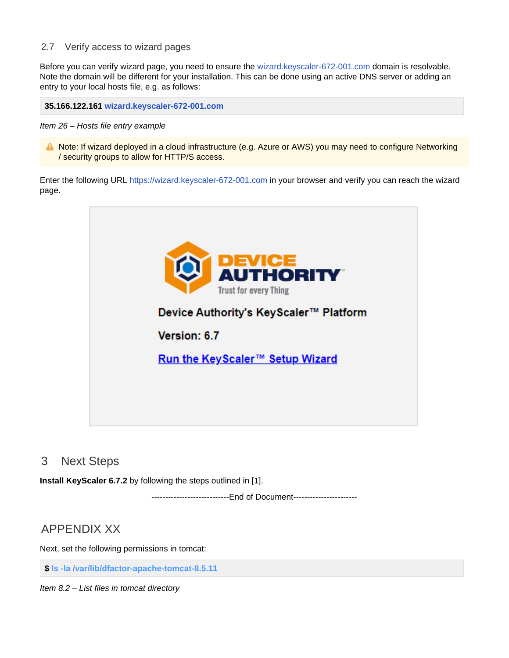#### 2.7 Verify access to wizard pages

Before you can verify wizard page, you need to ensure the [wizard.keyscaler-672-001.com](http://wizard.keyscaler-672-001.com) domain is resolvable. Note the domain will be different for your installation. This can be done using an active DNS server or adding an entry to your local hosts file, e.g. as follows:

**35.166.122.161 [wizard.keyscaler-672-001.com](http://wizard.keyscaler-672-001.com)**

Item 26 – Hosts file entry example

A Note: If wizard deployed in a cloud infrastructure (e.g. Azure or AWS) you may need to configure Networking / security groups to allow for HTTP/S access.

Enter the following URL [https://wizard.keyscaler-672-001.com](https://wizard.xyzcorp.com) in your browser and verify you can reach the wizard page.



## <span id="page-11-0"></span>3 Next Steps

**Install KeyScaler 6.7.2** by following the steps outlined in [1].

----------------------------End of Document-----------------------

## <span id="page-11-1"></span>APPENDIX XX

Next, set the following permissions in tomcat:

**\$ ls -la /var/lib/dfactor-apache-tomcat-8.5.11**

Item 8.2 – List files in tomcat directory